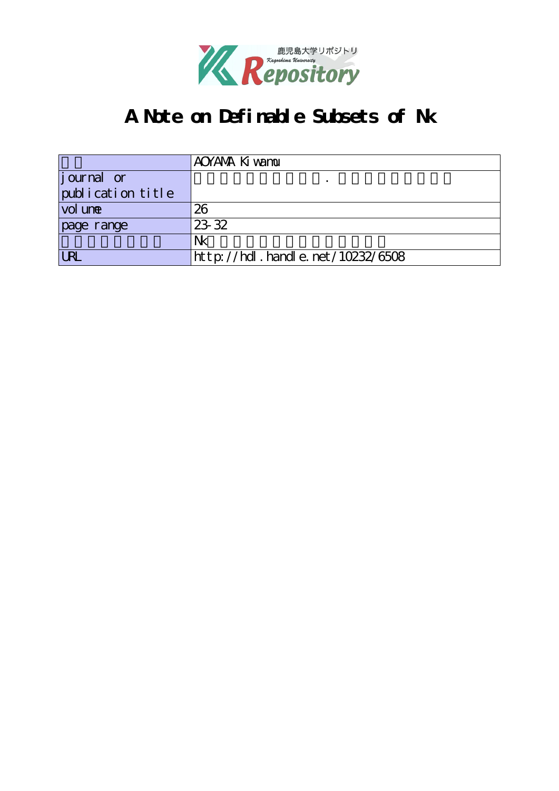

# **A Note on Definable Subsets of Nk**

|                    | AOYANA Ki wamu                   |
|--------------------|----------------------------------|
| <i>j</i> ournal or |                                  |
| publication title  |                                  |
| vol une            | 26                               |
| page range         | 23.32                            |
|                    | Nk                               |
|                    | http://hdl.handle.net/10232/6508 |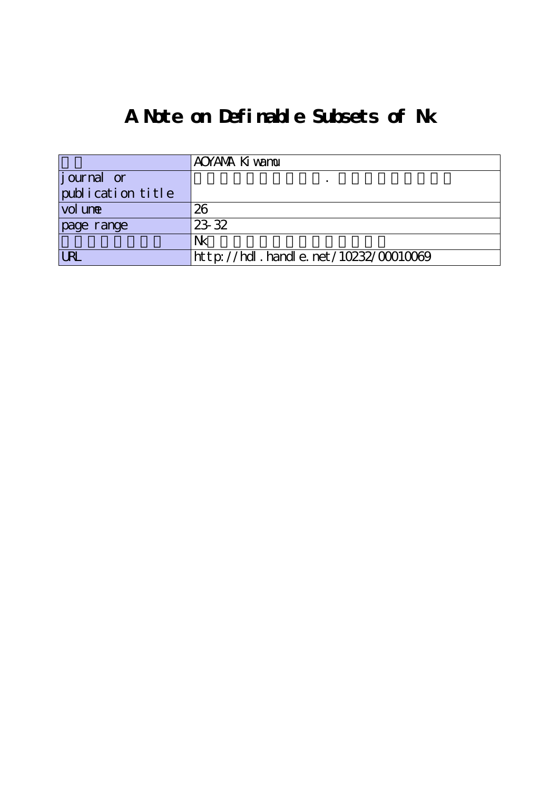# **A Note on Definable Subsets of Nk**

|                                  | AOYANA Ki wamu                            |
|----------------------------------|-------------------------------------------|
| $\left  \text{j our} \right $ or |                                           |
| publication title                |                                           |
| vol une                          | 26                                        |
| page range                       | 23 32                                     |
|                                  | Nk                                        |
| <b>URL</b>                       | $http$ ://hdl. handle. net/10232/00010069 |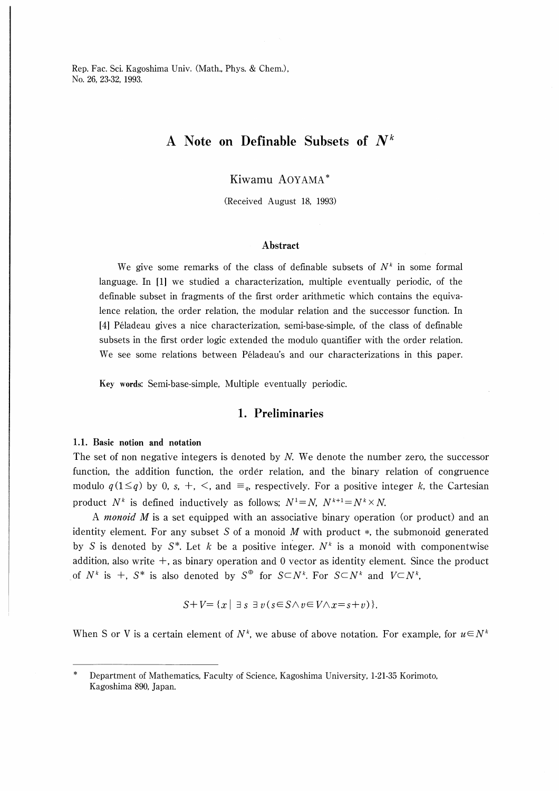Rep. Fac. Sci. Kagoshima Univ. (Math., Phys. & Chem.), No. 26, 23-32, 1993.

# A Note on Definable Subsets of  $N^k$

Kiwamu AOYAMA

(Received August 18, 1993)

#### Abstract

We give some remarks of the class of definable subsets of  $N^k$  in some formal language. In 【1] we studied a characterization, multiple eventually periodic, of the definable subset in fragments of the first order arithmetic which contains the equivalence relation, the order relation, the modular relation and the successor function. In l41 Peladeau gives a nice characterization, semi-base-simple, of the class of definable subsets in the first order logic extended the modulo quantifier with the order relation. We see some relations between Péladeau's and our characterizations in this paper.

Key words: Semi-base-simple, Multiple eventually periodic.

# 1. Preliminaries

#### 1.1. Basic notion and notation

The set of non negative integers is denoted by  $N$ . We denote the number zero, the successor function, the addition function, the order relation, and the binary relation of congruence modulo  $q(1 \leq q)$  by 0, s, +, <, and  $\equiv_{q}$ , respectively. For a positive integer k, the Cartesian product  $N^k$  is defined inductively as follows;  $N^1 = N$ ,  $N^{k+1} = N^k \times N$ .

A monoid M is a set equipped with an associative binary operation (or product) and an identity element. For any subset S of a monoid  $M$  with product  $*$ , the submonoid generated by S is denoted by  $S^*$ . Let k be a positive integer.  $N^k$  is a monoid with componentwise addition, also write  $+$ , as binary operation and 0 vector as identity element. Since the product of  $N^k$  is +, S<sup>\*</sup> is also denoted by S<sup>⊕</sup> for S⊂N<sup>k</sup>. For S⊂N<sup>k</sup> and V⊂N<sup>k</sup>,

$$
S+V=\{x\mid \exists s\ \exists v(s\in S\wedge v\in V\wedge x=s+v)\}.
$$

When S or V is a certain element of  $N^k$ , we abuse of above notation. For example, for  $u \in N^k$ 

Department of Mathematics, Faculty of Science, Kagoshima University, 1-21-35 Korimoto, Kagoshima 890, Japan.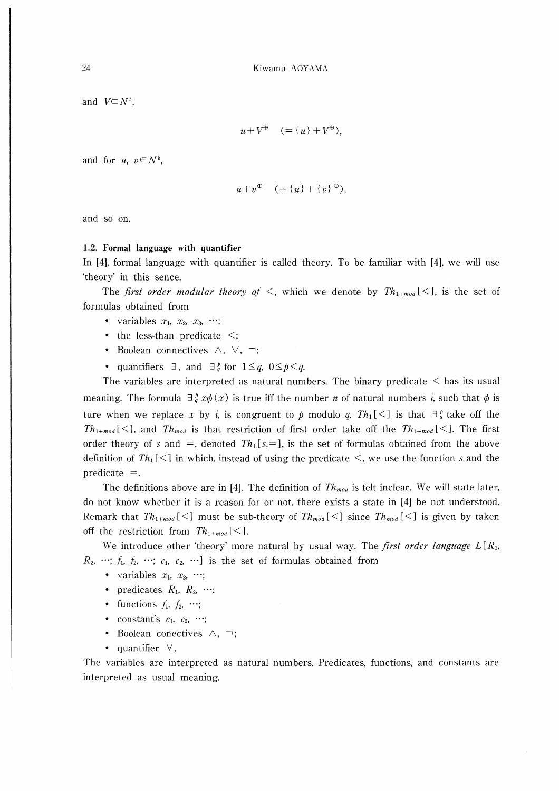and  $V\subset N^k$ .

$$
u + V^{\oplus} \quad (= \{u\} + V^{\oplus}),
$$

and for  $u, v \in N^k$ ,

$$
u+v^{\oplus} \quad (=\{u\}+\{v\}^{\oplus}),
$$

and so on.

#### 1.2. Formal language with quantifier

In [4], formal language with quantifier is called theory. To be familiar with [4], we will use 'theory' in this sence.

The first order modular theory of  $\leq$ , which we denote by  $Th_{1+mod}[\leq]$ , is the set of formulas obtained from

- variables  $x_1, x_2, x_3, \cdots;$
- $\bullet$  the less-than predicate  $\leq$ ;
- Boolean connectives  $\wedge$ ,  $\vee$ ,  $\neg$ ;
- quantifiers  $\exists$ , and  $\exists$ <sup>b</sup> for  $1 \leq q$ ,  $0 \leq p \leq q$ .

The variables are interpreted as natural numbers. The binary predicate  $\leq$  has its usual meaning. The formula  $\exists \frac{p}{q} x \phi(x)$  is true iff the number *n* of natural numbers *i*, such that  $\phi$  is ture when we replace x by i, is congruent to p modulo q.  $Th_1[\leq]$  is that  $\exists \frac{\rho}{q}$  take off the  $Th_{1+mod}[\leq]$ , and  $Th_{mod}$  is that restriction of first order take off the  $Th_{1+mod}[\leq]$ . The first order theory of s and =, denoted  $Th_1[s,=]$ , is the set of formulas obtained from the above definition of  $Th_1\leq$  in which, instead of using the predicate  $\leq$ , we use the function s and the predicate  $=$ .

The definitions above are in [4]. The definition of  $Th_{mod}$  is felt inclear. We will state later, do not know whether it is a reason for or not, there exists a state in [4] be not understood. Remark that  $Th_{1+mod}[\leq]$  must be sub-theory of  $Th_{mod}[\leq]$  since  $Th_{mod}[\leq]$  is given by taken off the restriction from  $Th_{1+mod}[\leq]$ .

We introduce other 'theory' more natural by usual way. The *first order language*  $L[R_1,$  $R_2, \dots; f_1, f_2, \dots; c_1, c_2, \dots$  is the set of formulas obtained from

- variables  $x_1, x_2, \dots;$
- predicates  $R_1$ ,  $R_2$ , ...;
- functions  $f_1, f_2, \cdots;$
- constant's  $c_1$ ,  $c_2$ , ...;
- Boolean conectives  $\wedge$ ,  $\neg$ ;
- quantifier  $\forall$ .

The variables are interpreted as natural numbers. Predicates, functions, and constants are interpreted as usual meaning.

24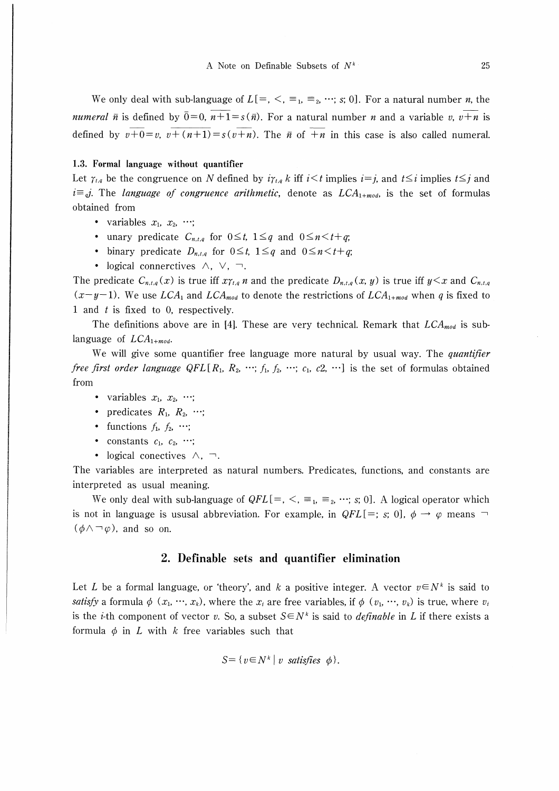We only deal with sub-language of  $L[-, \leq, \equiv_1, \equiv_2, \cdots; s; 0]$ . For a natural number *n*, the *numeral*  $\bar{n}$  is defined by  $\bar{0}=0$ ,  $n+1=s(\bar{n})$ . For a natural number *n* and a variable *v*,  $v+n$  is defined by  $v+0=v$ ,  $v+(n+1)=s(v+n)$ . The  $\bar{n}$  of  $\bar{n}$  in this case is also called numeral.

#### 1.3. Formal language without quantifier

Let  $\gamma_{t,q}$  be the congruence on N defined by  $i\gamma_{t,q} k$  iff  $i\leq t$  implies  $i=j$ , and  $t\leq i$  implies  $t\leq j$  and  $i\equiv q$ . The *language of congruence arithmetic*, denote as  $LCA_{1+mod}$ , is the set of formulas obtained from

- variables  $x_1, x_2, \dots;$
- unary predicate  $C_{n,t,q}$  for  $0 \leq t$ ,  $1 \leq q$  and  $0 \leq n \leq t+q$ ;
- binary predicate  $D_{n,t,q}$  for  $0 \leq t$ ,  $1 \leq q$  and  $0 \leq n \leq t+q$ ;
- logical connerctives  $\wedge$ ,  $\vee$ ,  $\neg$ .

The predicate  $C_{n,t,q}(x)$  is true iff  $x\gamma_{t,q}$  n and the predicate  $D_{n,t,q}(x, y)$  is true iff  $y \leq x$  and  $C_{n,t,q}$  $(x-y-1)$ . We use LCA<sub>1</sub> and LCA<sub>mod</sub> to denote the restrictions of LCA<sub>1+mod</sub> when q is fixed to 1 and t is fixed to 0, respectively.

The definitions above are in [4]. These are very technical. Remark that  $LCA_{mod}$  is sublanguage of  $LCA_{1+mod}$ .

We will give some quantifier free language more natural by usual way. The quantifier *free first order language QFL* [ $R_1$ ,  $R_2$ ,  $\cdots$ ;  $f_1$ ,  $f_2$ ,  $\cdots$ ;  $c_1$ ,  $c_2$ ,  $\cdots$ ] is the set of formulas obtained from

- variables  $x_1, x_2, \dots;$
- predicates  $R_1$ ,  $R_2$ , ...;
- functions  $f_1, f_2, \cdots;$
- constants  $c_1$ ,  $c_2$ ,  $\cdots$ ;
- logical conectives  $\wedge$ ,  $\neg$ .

The variables are interpreted as natural numbers. Predicates, functions, and constants are interpreted as usual meaning.

We only deal with sub-language of  $QFL[=, \leq, \equiv_1, \equiv_2, \cdots; s; 0]$ . A logical operator which is not in language is ususal abbreviation. For example, in  $QFL[=; s; 0]$ ,  $\phi \rightarrow \varphi$  means  $\neg$  $(\phi \land \neg \varphi)$ , and so on.

### 2. Definable sets and quantifier elimination

Let L be a formal language, or 'theory', and k a positive integer. A vector  $v \in N^k$  is said to satisfy a formula  $\phi$   $(x_1, \dots, x_k)$ , where the  $x_i$  are free variables, if  $\phi$   $(v_1, \dots, v_k)$  is true, where  $v_i$ is the *i*-th component of vector v. So, a subset  $S \in \mathbb{N}^k$  is said to *definable* in L if there exists a formula  $\phi$  in L with k free variables such that

$$
S = \{ v \in N^k \mid v \text{ satisfies } \phi \}.
$$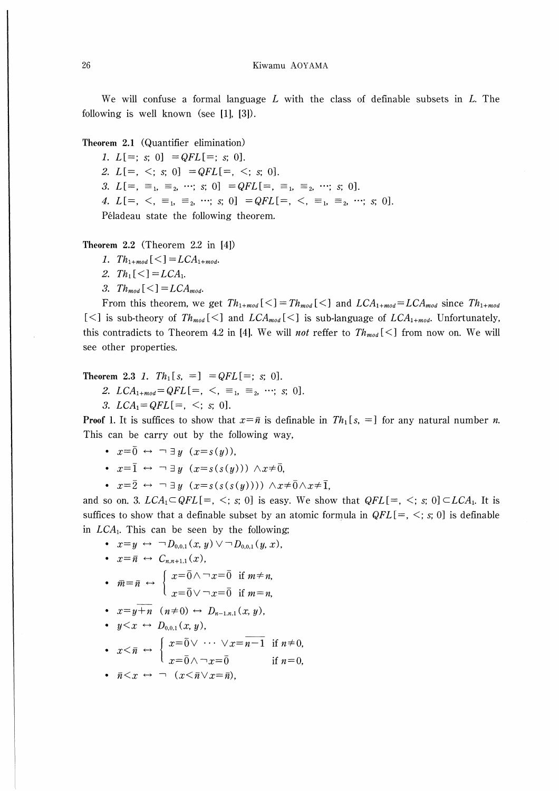We will confuse a formal language  $L$  with the class of definable subsets in  $L$ . The following is well known (see [1], [3]).

Theorem 2.1 (Quantifier elimination)

1.  $L[=; s; 0] = QFL[=; s; 0].$ 2.  $L[=, \le; s; 0] = QFL[=, \le; s; 0].$ 3.  $L[=, \equiv_1, \equiv_2, \cdots; s; 0] = QFL[=, \equiv_1, \equiv_2, \cdots; s; 0].$ 4.  $L[=, \leq, \equiv_1, \equiv_2, \cdots; s; 0] = QFL[=, \leq, \equiv_1, \equiv_2, \cdots; s; 0].$ Péladeau state the following theorem.

Theorem  $2.2$  (Theorem  $2.2$  in  $[4]$ )

- 1.  $Th_{1+mod}[\leq] = LCA_{1+mod}$ .
- 2.  $Th_1[\leq] = LCA_1$ .
- 3.  $Th_{mod} [\leq] = LCA_{mod}$ .

From this theorem, we get  $Th_{1+mod}[\leq] = Th_{mod}[\leq]$  and  $LCA_{1+mod} = LCA_{mod}$  since  $Th_{1+mod}$ [<] is sub-theory of  $Th_{mod}[\leq]$  and  $LCA_{mod}[\leq]$  is sub-language of  $LCA_{1+mod}$ . Unfortunately, this contradicts to Theorem 4.2 in [4]. We will *not* reffer to  $Th_{mod}[\leq]$  from now on. We will see other properties.

Theorem 2.3 1.  $Th_1[s, =] = QFL[=; s; 0].$ 

- 2.  $LCA_{1+mod}=QFL[=, \langle , \equiv_1, \equiv_2, \cdots; s; 0].$
- 3.  $LCA_1 = QFL[=, <; s; 0].$

**Proof 1.** It is suffices to show that  $x = \overline{n}$  is definable in  $Th_1[s, =]$  for any natural number *n*. This can be carry out by the following way,

- $x=\overline{0} \leftrightarrow \neg \exists y \ (x=s(y)).$
- $x=\overline{1} \leftrightarrow \neg \exists y \ (x=s(s(y))) \land x \neq \overline{0}$
- $x=\overline{2} \leftrightarrow \neg \exists y \ (x=s(s(s(y)))) \land x \neq \overline{0} \land x \neq \overline{1}$

and so on. 3.  $LCA_1 \subseteq QFL[=, \leq; s; 0]$  is easy. We show that  $QFL[=, \leq; s; 0] \subseteq LCA_1$ . It is suffices to show that a definable subset by an atomic formula in  $QFL[=, <; s; 0]$  is definable in  $LCA_1$ . This can be seen by the following;

•  $x=y \leftrightarrow \neg D_{0,0,1}(x, y) \vee \neg D_{0,0,1}(y, x),$ •  $x=\overline{n} \leftrightarrow C_{n,n+1,1}(x)$ ,  $\int x = \overline{0} \wedge \neg x = \overline{0}$  if  $m \neq n$ ,

• 
$$
\overline{m} = \overline{n} \leftrightarrow \begin{cases} x & \text{if } m \neq n, \\ x = \overline{0} \vee \neg x = \overline{0} \text{ if } m = n. \end{cases}
$$

• 
$$
x=y+n
$$
  $(n\neq 0) \leftrightarrow D_{n-1,n,1}(x, y),$ 

•  $y \leq x \leftrightarrow D_{0,0,1}(x, y)$ ,

• 
$$
x < \overline{n} \leftrightarrow \begin{cases} x = \overline{0} \vee \cdots \vee x = \overline{n-1} & \text{if } n \neq 0, \\ x = \overline{0} \wedge \neg x = \overline{0} & \text{if } n = 0, \end{cases}
$$

• 
$$
\bar{n} \leq x \leftrightarrow \neg (x \leq \bar{n} \vee x = \bar{n}),
$$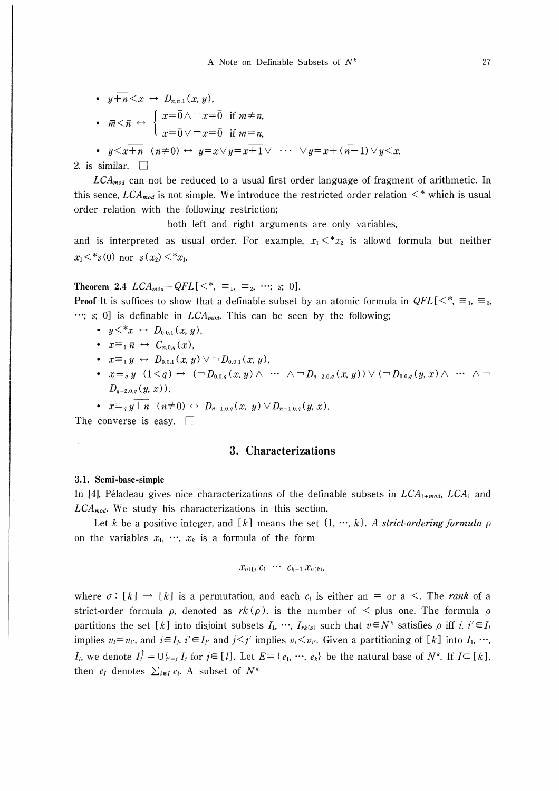\n- \n
$$
y + n < x \leftrightarrow D_{n,n,1}(x, y),
$$
\n
\n- \n $\overline{m} < \overline{n} \leftrightarrow\n \begin{cases}\n x = \overline{0} \land \neg x = \overline{0} & \text{if } m \neq n, \\
x = \overline{0} \lor \neg x = \overline{0} & \text{if } m = n,\n \end{cases}$ \n
\n

• 
$$
y \leq x+n
$$
  $(n\neq 0) \leftrightarrow y=x \vee y=x+1 \vee \cdots \vee y=x+(n-1) \vee y \leq x$ .

#### 2. is similar.  $\square$

 $LCA_{mod}$  can not be reduced to a usual first order language of fragment of arithmetic. In this sence,  $LCA_{mod}$  is not simple. We introduce the restricted order relation  $\lt^*$  which is usual order relation with the following restriction;

both left and right arguments are only variables,

and is interpreted as usual order. For example,  $x_1 < x_2$  is allowd formula but neither  $x_1 \lt^* s(0)$  nor  $s(x_2) \lt^* x_1$ .

Theorem 2.4  $LCA_{mod} = QFL[<^*, \equiv_1, \equiv_2, \cdots; s; 0].$ 

**Proof** It is suffices to show that a definable subset by an atomic formula in  $QFL[<^*$ ,  $\equiv_1$ ,  $\equiv_2$ , ...; s; 0] is definable in  $LCA_{mod}$ . This can be seen by the following;

- $y \leq^* x \leftrightarrow D_{0,0,1}(x, y)$ ,
- $x \equiv_1 \bar{n} \leftrightarrow C_{n,0,q}(x)$
- $x \equiv_1 y \leftrightarrow D_{0,0,1}(x, y) \vee \neg D_{0,0,1}(x, y),$
- $x \equiv_q y \ (1 \leq q) \leftrightarrow (\neg D_{0,0,q}(x, y) \wedge \cdots \wedge \neg D_{q-2,0,q}(x, y)) \vee (\neg D_{0,0,q}(y, x) \wedge \cdots \wedge \neg D_{q-2,0,q}(y, y))$  $D_{q-2,0,q}(y,x)$ ,
- $x \equiv_q y + n \quad (n \neq 0) \leftrightarrow D_{n-1,0,q}(x, y) \vee D_{n-1,0,q}(y, x).$

The converse is easy.  $\square$ 

# 3. Characterizations

#### 3.1. Semi-base-simple

In [4], Péladeau gives nice characterizations of the definable subsets in  $LCA_{1+mod}$ ,  $LCA_1$  and  $LCA_{mod}$ . We study his characterizations in this section.

Let k be a positive integer, and [k] means the set  $\{1, \dots, k\}$ . A strict-ordering formula  $\rho$ on the variables  $x_1, \dots, x_k$  is a formula of the form

$$
x_{\sigma(1)} c_1 \cdots c_{k-1} x_{\sigma(k)},
$$

where  $\sigma : [k] \rightarrow [k]$  is a permutation, and each  $c_i$  is either an = or a <. The *rank* of a strict-order formula  $\rho$ , denoted as  $rk(\rho)$ , is the number of  $\leq$  plus one. The formula  $\rho$ partitions the set [k] into disjoint subsets  $I_1, \dots, I_{r_k(\rho)}$  such that  $v \in N^k$  satisfies  $\rho$  iff i,  $i' \in I_j$ implies  $v_i = v_{i'}$ , and  $i \in I_j$ ,  $i' \in I_{j'}$  and  $j < j'$  implies  $v_i < v_{i'}$ . Given a partitioning of [k] into  $I_1, \dots, I_k$  $I_l$ , we denote  $I_l^{\dagger} = \bigcup_{j'=l}^{l} I_j$  for  $j \in [l]$ . Let  $E = \{e_1, \dots, e_k\}$  be the natural base of  $N^k$ . If  $I \subseteq [k]$ , then  $e_i$  denotes  $\sum_{i\in I} e_i$ . A subset of  $N^k$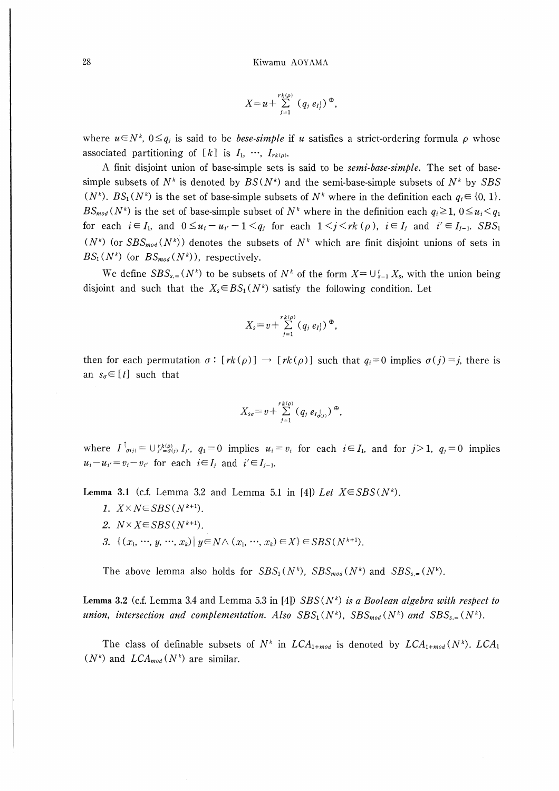$$
X=u+\sum_{j=1}^{rk(\rho)}(q_j e_{I_j})^{\oplus},
$$

where  $u \in N^k$ ,  $0 \leq q_i$  is said to be *bese-simple* if u satisfies a strict-ordering formula  $\rho$  whose associated partitioning of [k] is  $I_1, \dots, I_{rk(\rho)}$ .

A finit disjoint union of base-simple sets is said to be *semi-base-simple*. The set of basesimple subsets of  $N^k$  is denoted by  $BS(N^k)$  and the semi-base-simple subsets of  $N^k$  by SBS  $(N^k)$ .  $BS_1(N^k)$  is the set of base-simple subsets of  $N^k$  where in the definition each  $q_i \in \{0, 1\}$ .  $BS_{mod}(N^k)$  is the set of base-simple subset of  $N^k$  where in the definition each  $q_i \geq 1$ ,  $0 \leq u_i < q_1$ for each  $i \in I_1$ , and  $0 \leq u_i - u_{i'} - 1 \leq q_i$  for each  $1 \leq j \leq rk$  ( $\rho$ ),  $i \in I_j$  and  $i' \in I_{j-1}$ . SBS<sub>1</sub>  $(N^k)$  (or  $SBS_{mod}(N^k)$ ) denotes the subsets of  $N^k$  which are finit disjoint unions of sets in  $BS_1(N^k)$  (or  $BS_{mod}(N^k)$ ), respectively.

We define  $SBS_{s,a}(N^k)$  to be subsets of  $N^k$  of the form  $X = \bigcup_{s=1}^t X_s$ , with the union being disjoint and such that the  $X_s \in BS_1(N^k)$  satisfy the following condition. Let

$$
X_{s}=v+\sum_{j=1}^{rk(\rho)}(q_{j}e_{I_{j}})^{\oplus},
$$

then for each permutation  $\sigma : [rk(\rho)] \to [rk(\rho)]$  such that  $q_i = 0$  implies  $\sigma(j) = j$ , there is an  $s_{\sigma} \in [t]$  such that

$$
X_{s\sigma}=v+\sum_{j=1}^{rk(\rho)}(q_j e_{I_{\sigma(j)}})^{\oplus},
$$

where  $I^{\dagger}_{\sigma(j)} = \bigcup_{j'= \sigma(j)}^{r_k(\rho)} I_{j'}, q_1 = 0$  implies  $u_i = v_i$  for each  $i \in I_1$ , and for  $j > 1$ ,  $q_j = 0$  implies  $u_i - u_{i'} = v_i - v_{i'}$  for each  $i \in I_j$  and  $i' \in I_{j-1}$ .

Lemma 3.1 (c.f. Lemma 3.2 and Lemma 5.1 in [4]) Let  $X \in SBS(N^k)$ .

- 1.  $X \times N \in SBS(N^{k+1})$ .
- 2.  $N \times X \in SBS(N^{k+1})$ .
- 3.  $\{(x_1, \dots, y, \dots, x_k) | y \in N \wedge (x_1, \dots, x_k) \in X\} \in SBS(N^{k+1}).$

The above lemma also holds for  $SBS_1(N^k)$ ,  $SBS_{mod}(N^k)$  and  $SBS_{s} = (N^k)$ .

Lemma 3.2 (c.f. Lemma 3.4 and Lemma 5.3 in [4])  $SBS(N^k)$  is a Boolean algebra with respect to union, intersection and complementation. Also  $SBS_1(N^k)$ ,  $SBS_{mod}(N^k)$  and  $SBS_{s} = (N^k)$ .

The class of definable subsets of  $N^k$  in  $LCA_{1+mod}$  is denoted by  $LCA_{1+mod}(N^k)$ . LCA<sub>1</sub>  $(N^k)$  and  $LCA_{mod}(N^k)$  are similar.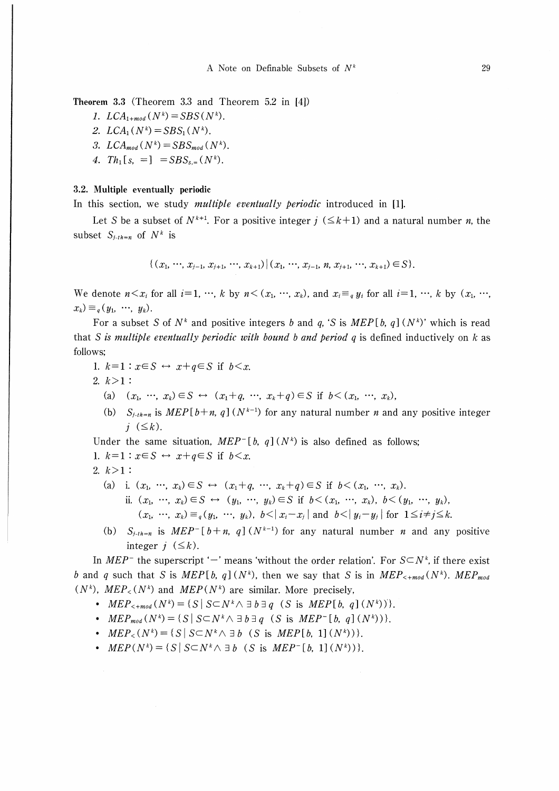Theorem 3.3 (Theorem 3.3 and Theorem 5.2 in 【41)

1.  $LCA_{1+mod}(N^k) = SBS(N^k)$ .

- 2.  $LCA_1(N^k) = SBS_1(N^k)$ .
- 3.  $LCA_{mod}(N^k) = SBS_{mod}(N^k)$ .
- 4.  $Th_1[s, =] = SBS_{s,=}(N^k)$ .

### 3.2. Multiple eventually periodic

In this section, we study *multiple eventually periodic* introduced in [1].

Let S be a subset of  $N^{k+1}$ . For a positive integer  $j \leq k+1$  and a natural number n, the subset  $S_{i-th=n}$  of  $N^k$  is

$$
\{(x_1, \cdots, x_{j-1}, x_{j+1}, \cdots, x_{k+1}) | (x_1, \cdots, x_{j-1}, n, x_{j+1}, \cdots, x_{k+1}) \in S\}.
$$

We denote  $n \leq x_i$  for all  $i=1, \dots, k$  by  $n \leq (x_1, \dots, x_k)$ , and  $x_i \equiv_q y_i$  for all  $i=1, \dots, k$  by  $(x_1, \dots, x_k)$  $x_k) \equiv_a (y_1, \cdots, y_k).$ 

For a subset S of  $N^k$  and positive integers b and q, 'S is  $MEP[b, q](N^k)$ ' which is read that S is multiple eventually periodic with bound b and period  $q$  is defined inductively on k as follows;

- 1.  $k=1$ :  $x \in S \leftrightarrow x+a \in S$  if  $b \leq x$ .
- 2.  $k>1$ :
	- (a)  $(x_1, \dots, x_k) \in S \leftrightarrow (x_1+q, \dots, x_k+q) \in S$  if  $b \leq (x_1, \dots, x_k)$ ,
	- (b)  $S_{j-th=n}$  is  $MEP[b+n, q](N^{k-1})$  for any natural number *n* and any positive integer  $j \leq k$ ).

Under the same situation,  $MEP^{-}[\,b, q\,](N^k)$  is also defined as follows: 1.  $k=1$ :  $x \in S \leftrightarrow x+q \in S$  if  $b \leq x$ .

$$
2. \ k>1:
$$

- (a) i.  $(x_1, \dots, x_k) \in S \leftrightarrow (x_1 + q, \dots, x_k + q) \in S$  if  $b < (x_1, \dots, x_k)$ .
	- ii.  $(x_1, \dots, x_k) \in S \leftrightarrow (y_1, \dots, y_k) \in S$  if  $b \lt (x_1, \dots, x_k)$ ,  $b \lt (y_1, \dots, y_k)$ ,  $(x_1, \dots, x_k) \equiv_q (y_1, \dots, y_k)$ ,  $b \le |x_i-x_j|$  and  $b \le |y_i-y_j|$  for  $1 \le i \ne j \le k$ .
- (b)  $S_{j-th=n}$  is  $MEP^{-}[b+n, q]$  ( $N^{k-1}$ ) for any natural number *n* and any positive integer  $j \leq k$ ).

In MEP<sup>-</sup> the superscript '-' means 'without the order relation'. For  $S\subseteq N^k$ , if there exist b and q such that S is MEP[b, q](Nk), then we say that S is in MEP<sub><+mod</sub>(Nk). MEP<sub>mod</sub>  $(N^k)$ ,  $MEP_{\leq}(N^k)$  and  $MEP(N^k)$  are similar. More precisely,

- $MEP_{\leq +mod}(N^k) = \{S \mid S \subset N^k \wedge \exists b \exists q \ (S \text{ is } MEP[b, q](N^k))\}.$
- $MEP_{mod}(N^k) = \{S | S \subset N^k \land \exists b \exists q (S \text{ is } MEP^{-}[b, q](N^k))\}.$
- $MEP_{\leq}(N^k) = \{S \mid S \subseteq N^k \wedge \exists b \ (S \text{ is } MEP[b, 1](N^k))\}.$
- $MEP(N^k) = \{S | S \subset N^k \land \exists b \ (S \text{ is } MEP^{-}[b, 1](N^k))\}.$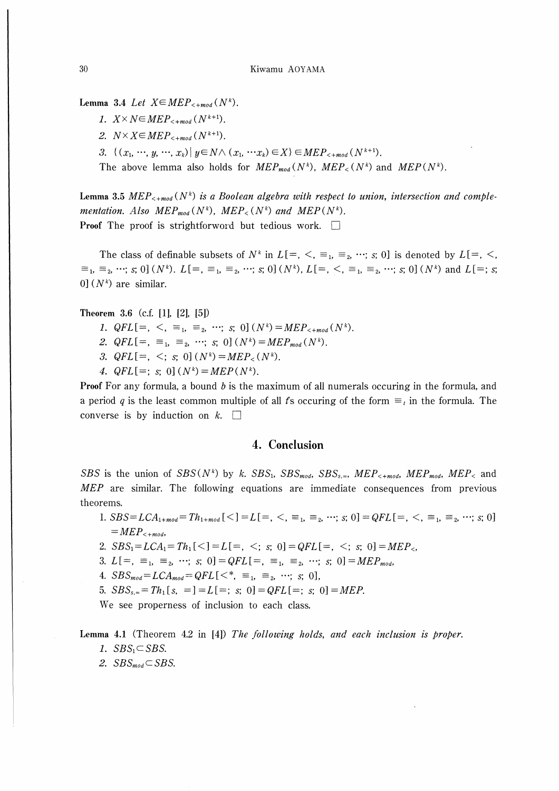Lemma 3.4 Let  $X \in MEP_{\leq +mod}(N^k)$ .

- 1.  $X \times N \in MEP_{\leq +mod}(N^{k+1})$ .
- 2.  $N \times X \in MEP_{\leq +mod}(N^{k+1})$ .
- 3.  $\{(x_1, \dots, y, \dots, x_k)| y \in N \wedge (x_1, \dots, x_k) \in X\} \in MEP_{\leq +mod}(N^{k+1}).$

The above lemma also holds for  $MEP_{mod}(N^k)$ ,  $MEP_{<}(N^k)$  and  $MEP(N^k)$ .

Lemma 3.5 MEP<sub><+mod</sub> (N<sup>k</sup>) is a Boolean algebra with respect to union, intersection and complementation. Also  $MEP_{mod}(N^k)$ ,  $MEP_{<}(N^k)$  and  $MEP(N^k)$ . **Proof** The proof is strightforword but tedious work.  $\Box$ 

The class of definable subsets of  $N^k$  in  $L[-, \leq, \equiv_1, \equiv_2, \cdots; s; 0]$  is denoted by  $L[-, \leq, \leq]$  $\equiv_1, \equiv_2, \cdots$ ; s; 0]  $(N^k)$ .  $L[=, \equiv_1, \equiv_2, \cdots$ ; s; 0]  $(N^k)$ ,  $L[=, \leq, \equiv_1, \equiv_2, \cdots$ ; s; 0]  $(N^k)$  and  $L[=; s;$ 0]  $(N^k)$  are similar.

## Theorem 3.6 (c.f.  $[1]$ ,  $[2]$ ,  $[5]$ )

- 1.  $QFL[=, \leq, \equiv_1, \equiv_2, \cdots;$  s; 0]  $(N^k)=MEP_{\leq +mod}(N^k)$ .
- 2.  $QFL[=, =_1, =_2, \cdots; s; 0] (N^k) = MEP_{mod}(N^k).$
- 3.  $QFL[=, \le; s; 0] (N^k) = MEP_{\leq}(N^k)$ .
- 4.  $QFL[=; s; 0] (N^k) = MEP(N^k)$ .

Proof For any formula, a bound b is the maximum of all numerals occuring in the formula, and a period q is the least common multiple of all ts occuring of the form  $\equiv_t$  in the formula. The converse is by induction on  $k$ .  $\square$ 

# 4. Conclusion

SBS is the union of  $SBS(N^k)$  by k.  $SBS_1$ ,  $SBS_{mod}$ ,  $SBS_{s,+}$ ,  $MEP_{\leq +mod}$ ,  $MEP_{mod}$ ,  $MEP_{\leq}$  and MEP are similar. The following equations are immediate consequences from previous theorems.

- 1.  $SBS = LCA_{1+mod} = Th_{1+mod}$ [<] = L[=, <,  $\equiv_1$ ,  $\equiv_2$ , …, s; 0] = QFL[=, <,  $\equiv_1$ ,  $\equiv_2$ , …; s; 0]  $= MEP_{\leq +mod}$
- 2.  $SBS_1 = LCA_1 = Th_1 \leq l = L =, \leq; s; 0] = QFL =, \leq; s; 0] = MEP$ .
- 3.  $L[=, =_1, =_2, \cdots; s; 0] = QFL[=, =_1, =_2, \cdots; s; 0] = MEP_{mod}$
- 4.  $SBS_{mod} = LCA_{mod} = QFL$ [<\*,  $\equiv_1$ ,  $\equiv_2$ , ...; s; 0],
- 5.  $SBS_{s,z} = Th_1[s, =] = L[=; s; 0] = QFL[=; s; 0] = MEP.$

We see properness of inclusion to each class.

Lemma 4.1 (Theorem 4.2 in [41) The following holds, and each inclusion is proper. 1.  $SBS_1 \subset SBS$ .

2.  $SBS_{mod} \subset SBS$ .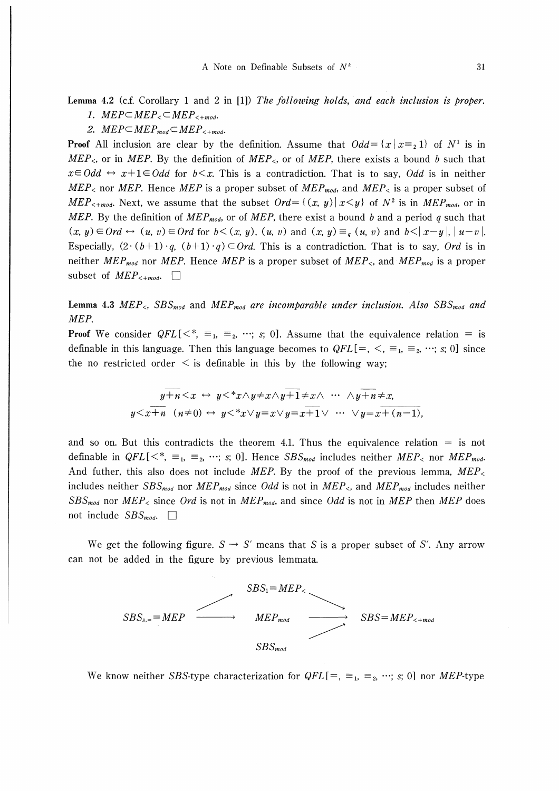Lemma 4.2 (c.f. Corollary 1 and 2 in [1]) The following holds, and each inclusion is proper. 1.  $MEP \subset MEP \subset MEP_{\leq +mod}$ .

2.  $MEP \subset MEP_{mod} \subset MEP_{\leq +mod}$ .

**Proof** All inclusion are clear by the definition. Assume that  $Odd = \{x \mid x \equiv_2 1\}$  of  $N^1$  is in  $MEP_{\leq}$ , or in MEP. By the definition of MEP<sub> $\leq$ </sub>, or of MEP, there exists a bound b such that  $x \in Odd \leftrightarrow x+1 \in Odd$  for  $b \leq x$ . This is a contradiction. That is to say, *Odd* is in neither  $MEP<sub>0</sub>$  nor MEP. Hence MEP is a proper subset of MEP<sub>mod</sub>, and MEP<sub>K</sub> is a proper subset of MEP<sub><+mod</sub>. Next, we assume that the subset  $Ord = \{(x, y) | x \leq y\}$  of  $N^2$  is in MEP<sub>mod</sub>, or in MEP. By the definition of MEP<sub>mod</sub>, or of MEP, there exist a bound b and a period q such that  $(x, y) \in Ord \leftrightarrow (u, v) \in Ord$  for  $b \leq (x, y)$ ,  $(u, v)$  and  $(x, y) \equiv_a (u, v)$  and  $b \leq |x-y|$ ,  $|u-v|$ . Especially,  $(2 \cdot (b+1) \cdot q, (b+1) \cdot q) \in Ord$ . This is a contradiction. That is to say, Ord is in neither MEP<sub>mod</sub> nor MEP. Hence MEP is a proper subset of MEP<sub><</sub>, and MEP<sub>mod</sub> is a proper subset of  $MEP_{\leq +mod}$ .

Lemma 4.3  $MEP_{\leq}$ ,  $SBS_{mod}$  and  $MEP_{mod}$  are incomparable under inclusion. Also  $SBS_{mod}$  and MEP.

**Proof** We consider  $QFL[\langle \xi \rangle = 1, \xi \xi \rangle = 0$ . Assume that the equivalence relation  $\eta = 0$  is definable in this language. Then this language becomes to  $QFL[=, <, \equiv_1, \equiv_2, \cdots; s; 0]$  since the no restricted order  $\leq$  is definable in this by the following way;

$$
y+h < x \leftrightarrow y < *x \land y \neq x \land y+1 \neq x \land \cdots \land y+h \neq x,
$$
  

$$
y < x+h \quad (n \neq 0) \leftrightarrow y < *x \lor y=x \lor y=x+1 \lor \cdots \lor y=x+(n-1),
$$

and so on. But this contradicts the theorem 4.1. Thus the equivalence relation  $=$  is not definable in  $QFL[\langle \cdot \rangle^* = 1, \equiv_2, \cdots; s; 0]$ . Hence  $SBS_{mod}$  includes neither  $MEP_{\leq}$  nor  $MEP_{mod}$ . And futher, this also does not include MEP. By the proof of the previous lemma,  $MEP_{\leq}$ includes neither  $SBS_{mod}$  nor  $MEP_{mod}$  since *Odd* is not in  $MEP_{<}$ , and  $MEP_{mod}$  includes neither  $SBS_{mod}$  nor  $MEP_{\leq}$  since Ord is not in  $MEP_{mod}$ , and since Odd is not in MEP then MEP does not include  $SBS_{mod}$ .  $\Box$ 

We get the following figure.  $S \rightarrow S'$  means that S is a proper subset of S'. Any arrow can not be added in the figure by previous lemmata.



We know neither SBS-type characterization for  $QFL[=$ ,  $\equiv_1$ ,  $\equiv_2$ ,  $\cdots$ ; s; 0] nor MEP-type